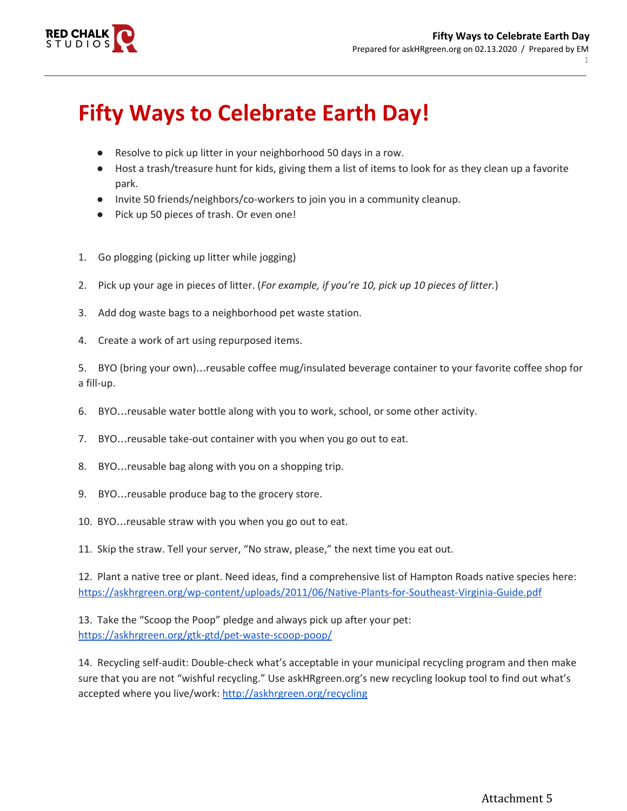

## **Fifty Ways to Celebrate Earth Day!**

- Resolve to pick up litter in your neighborhood 50 days in a row.
- Host a trash/treasure hunt for kids, giving them a list of items to look for as they clean up a favorite park.
- Invite 50 friends/neighbors/co-workers to join you in a community cleanup.
- Pick up 50 pieces of trash. Or even one!
- 1. Go plogging (picking up litter while jogging)
- 2. Pick up your age in pieces of litter. (*For example, if you're 10, pick up 10 pieces of litter.*)
- 3. Add dog waste bags to a neighborhood pet waste station.
- 4. Create a work of art using repurposed items.

5. BYO (bring your own)…reusable coffee mug/insulated beverage container to your favorite coffee shop for a fill-up.

- 6. BYO…reusable water bottle along with you to work, school, or some other activity.
- 7. BYO…reusable take-out container with you when you go out to eat.
- 8. BYO…reusable bag along with you on a shopping trip.
- 9. BYO…reusable produce bag to the grocery store.
- 10. BYO…reusable straw with you when you go out to eat.
- 11. Skip the straw. Tell your server, "No straw, please," the next time you eat out.

12. Plant a native tree or plant. Need ideas, find a comprehensive list of Hampton Roads native species here: <https://askhrgreen.org/wp-content/uploads/2011/06/Native-Plants-for-Southeast-Virginia-Guide.pdf>

13. Take the "Scoop the Poop" pledge and always pick up after your pet: <https://askhrgreen.org/gtk-gtd/pet-waste-scoop-poop/>

14. Recycling self-audit: Double-check what's acceptable in your municipal recycling program and then make sure that you are not "wishful recycling." Use askHRgreen.org's new recycling lookup tool to find out what's accepted where you live/work: <http://askhrgreen.org/recycling>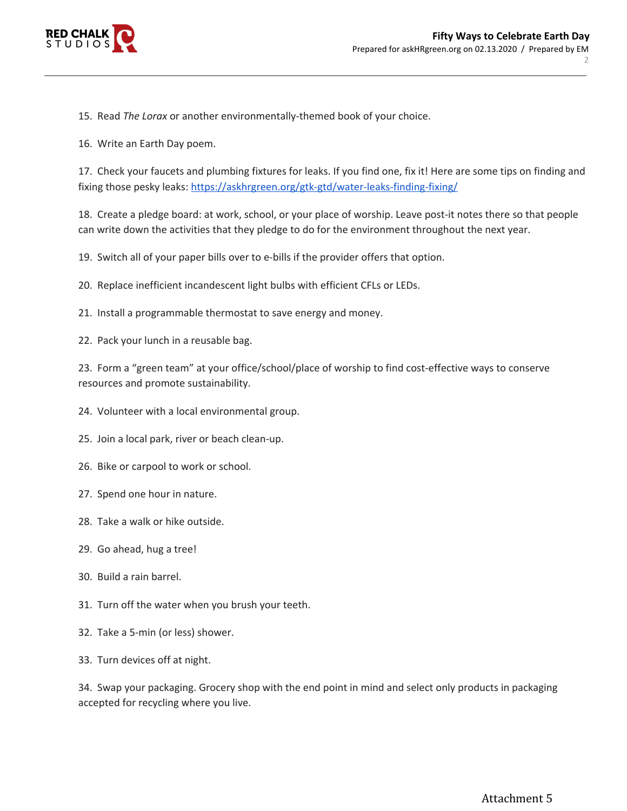

15. Read *The Lorax* or another environmentally-themed book of your choice.

16. Write an Earth Day poem.

17. Check your faucets and plumbing fixtures for leaks. If you find one, fix it! Here are some tips on finding and fixing those pesky leaks: <https://askhrgreen.org/gtk-gtd/water-leaks-finding-fixing/>

18. Create a pledge board: at work, school, or your place of worship. Leave post-it notes there so that people can write down the activities that they pledge to do for the environment throughout the next year.

19. Switch all of your paper bills over to e-bills if the provider offers that option.

20. Replace inefficient incandescent light bulbs with efficient CFLs or LEDs.

21. Install a programmable thermostat to save energy and money.

22. Pack your lunch in a reusable bag.

23. Form a "green team" at your office/school/place of worship to find cost-effective ways to conserve resources and promote sustainability.

24. Volunteer with a local environmental group.

25. Join a local park, river or beach clean-up.

26. Bike or carpool to work or school.

- 27. Spend one hour in nature.
- 28. Take a walk or hike outside.
- 29. Go ahead, hug a tree!
- 30. Build a rain barrel.
- 31. Turn off the water when you brush your teeth.
- 32. Take a 5-min (or less) shower.
- 33. Turn devices off at night.

34. Swap your packaging. Grocery shop with the end point in mind and select only products in packaging accepted for recycling where you live.